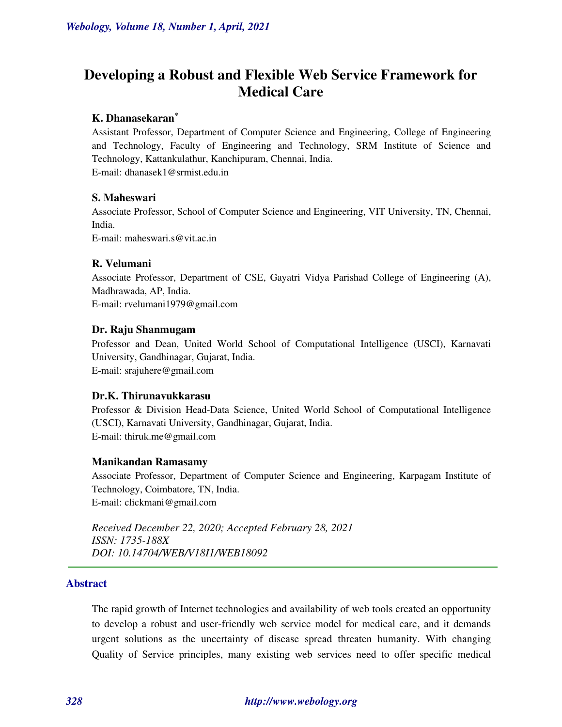# **Developing a Robust and Flexible Web Service Framework for Medical Care**

# **K. Dhanasekaran\***

Assistant Professor, Department of Computer Science and Engineering, College of Engineering and Technology, Faculty of Engineering and Technology, SRM Institute of Science and Technology, Kattankulathur, Kanchipuram, Chennai, India. E-mail: [dhanasek1@srmist.edu.in](mailto:dhanasek1@srmist.edu.in) 

# **S. Maheswari**

Associate Professor, School of Computer Science and Engineering, VIT University, TN, Chennai, India. E-mail: maheswari.s@vit.ac.in

# **R. Velumani**

Associate Professor, Department of CSE, Gayatri Vidya Parishad College of Engineering (A), Madhrawada, AP, India. E-mail[: rvelumani1979@gmail.com](mailto:rvelumani1979@gmail.com)

### **Dr. Raju Shanmugam**

Professor and Dean, United World School of Computational Intelligence (USCI), Karnavati University, Gandhinagar, Gujarat, India. E-mail[: srajuhere@gmail.com](mailto:srajuhere@gmail.com)

### **Dr.K. Thirunavukkarasu**

Professor & Division Head-Data Science, United World School of Computational Intelligence (USCI), Karnavati University, Gandhinagar, Gujarat, India. E-mail[: thiruk.me@gmail.com](mailto:thiruk.me@gmail.com)

# **Manikandan Ramasamy**

Associate Professor, Department of Computer Science and Engineering, Karpagam Institute of Technology, Coimbatore, TN, India. E-mail: clickmani@gmail.com

*Received December 22, 2020; Accepted February 28, 2021 ISSN: 1735-188X DOI: 10.14704/WEB/V18I1/WEB18092* 

### **Abstract**

The rapid growth of Internet technologies and availability of web tools created an opportunity to develop a robust and user-friendly web service model for medical care, and it demands urgent solutions as the uncertainty of disease spread threaten humanity. With changing Quality of Service principles, many existing web services need to offer specific medical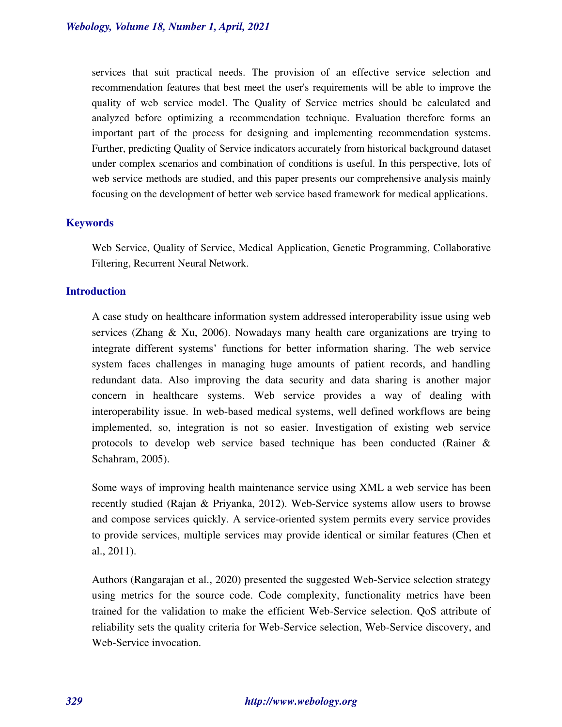services that suit practical needs. The provision of an effective service selection and recommendation features that best meet the user's requirements will be able to improve the quality of web service model. The Quality of Service metrics should be calculated and analyzed before optimizing a recommendation technique. Evaluation therefore forms an important part of the process for designing and implementing recommendation systems. Further, predicting Quality of Service indicators accurately from historical background dataset under complex scenarios and combination of conditions is useful. In this perspective, lots of web service methods are studied, and this paper presents our comprehensive analysis mainly focusing on the development of better web service based framework for medical applications.

### **Keywords**

Web Service, Quality of Service, Medical Application, Genetic Programming, Collaborative Filtering, Recurrent Neural Network.

#### **Introduction**

A case study on healthcare information system addressed interoperability issue using web services (Zhang & Xu, 2006). Nowadays many health care organizations are trying to integrate different systems' functions for better information sharing. The web service system faces challenges in managing huge amounts of patient records, and handling redundant data. Also improving the data security and data sharing is another major concern in healthcare systems. Web service provides a way of dealing with interoperability issue. In web-based medical systems, well defined workflows are being implemented, so, integration is not so easier. Investigation of existing web service protocols to develop web service based technique has been conducted (Rainer & Schahram, 2005).

Some ways of improving health maintenance service using XML a web service has been recently studied (Rajan & Priyanka, 2012). Web-Service systems allow users to browse and compose services quickly. A service-oriented system permits every service provides to provide services, multiple services may provide identical or similar features (Chen et al., 2011).

Authors (Rangarajan et al., 2020) presented the suggested Web-Service selection strategy using metrics for the source code. Code complexity, functionality metrics have been trained for the validation to make the efficient Web-Service selection. QoS attribute of reliability sets the quality criteria for Web-Service selection, Web-Service discovery, and Web-Service invocation.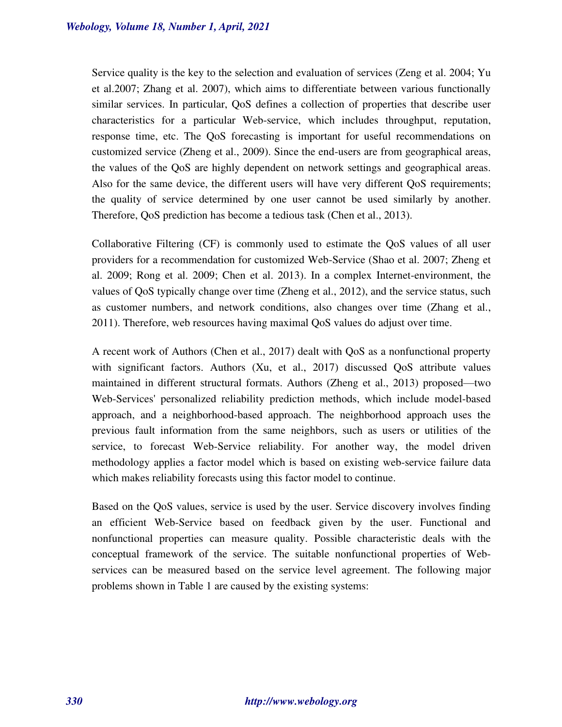Service quality is the key to the selection and evaluation of services (Zeng et al. 2004; Yu et al.2007; Zhang et al. 2007), which aims to differentiate between various functionally similar services. In particular, QoS defines a collection of properties that describe user characteristics for a particular Web-service, which includes throughput, reputation, response time, etc. The QoS forecasting is important for useful recommendations on customized service (Zheng et al., 2009). Since the end-users are from geographical areas, the values of the QoS are highly dependent on network settings and geographical areas. Also for the same device, the different users will have very different QoS requirements; the quality of service determined by one user cannot be used similarly by another. Therefore, QoS prediction has become a tedious task (Chen et al., 2013).

Collaborative Filtering (CF) is commonly used to estimate the QoS values of all user providers for a recommendation for customized Web-Service (Shao et al. 2007; Zheng et al. 2009; Rong et al. 2009; Chen et al. 2013). In a complex Internet-environment, the values of QoS typically change over time (Zheng et al., 2012), and the service status, such as customer numbers, and network conditions, also changes over time (Zhang et al., 2011). Therefore, web resources having maximal QoS values do adjust over time.

A recent work of Authors (Chen et al., 2017) dealt with QoS as a nonfunctional property with significant factors. Authors (Xu, et al., 2017) discussed QoS attribute values maintained in different structural formats. Authors (Zheng et al., 2013) proposed—two Web-Services' personalized reliability prediction methods, which include model-based approach, and a neighborhood-based approach. The neighborhood approach uses the previous fault information from the same neighbors, such as users or utilities of the service, to forecast Web-Service reliability. For another way, the model driven methodology applies a factor model which is based on existing web-service failure data which makes reliability forecasts using this factor model to continue.

Based on the QoS values, service is used by the user. Service discovery involves finding an efficient Web-Service based on feedback given by the user. Functional and nonfunctional properties can measure quality. Possible characteristic deals with the conceptual framework of the service. The suitable nonfunctional properties of Webservices can be measured based on the service level agreement. The following major problems shown in Table 1 are caused by the existing systems: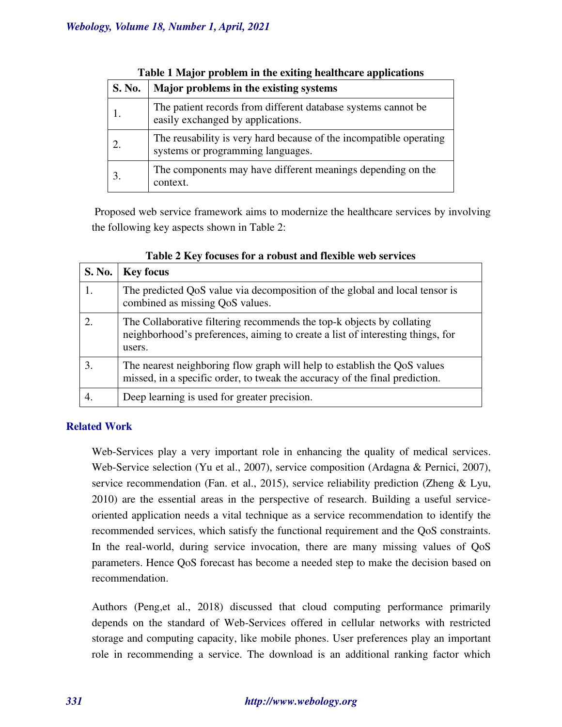| S. No. | Major problems in the existing systems                                                                  |
|--------|---------------------------------------------------------------------------------------------------------|
|        | The patient records from different database systems cannot be.<br>easily exchanged by applications.     |
|        | The reusability is very hard because of the incompatible operating<br>systems or programming languages. |
| 3.     | The components may have different meanings depending on the<br>context.                                 |

# **Table 1 Major problem in the exiting healthcare applications**

 Proposed web service framework aims to modernize the healthcare services by involving the following key aspects shown in Table 2:

| S. No. | <b>Key focus</b>                                                                                                                                                  |
|--------|-------------------------------------------------------------------------------------------------------------------------------------------------------------------|
|        | The predicted QoS value via decomposition of the global and local tensor is<br>combined as missing QoS values.                                                    |
|        | The Collaborative filtering recommends the top-k objects by collating<br>neighborhood's preferences, aiming to create a list of interesting things, for<br>users. |
| 3.     | The nearest neighboring flow graph will help to establish the QoS values<br>missed, in a specific order, to tweak the accuracy of the final prediction.           |
|        | Deep learning is used for greater precision.                                                                                                                      |

# **Table 2 Key focuses for a robust and flexible web services**

# **Related Work**

Web-Services play a very important role in enhancing the quality of medical services. Web-Service selection (Yu et al., 2007), service composition (Ardagna & Pernici, 2007), service recommendation (Fan. et al., 2015), service reliability prediction (Zheng & Lyu, 2010) are the essential areas in the perspective of research. Building a useful serviceoriented application needs a vital technique as a service recommendation to identify the recommended services, which satisfy the functional requirement and the QoS constraints. In the real-world, during service invocation, there are many missing values of QoS parameters. Hence QoS forecast has become a needed step to make the decision based on recommendation.

Authors (Peng,et al., 2018) discussed that cloud computing performance primarily depends on the standard of Web-Services offered in cellular networks with restricted storage and computing capacity, like mobile phones. User preferences play an important role in recommending a service. The download is an additional ranking factor which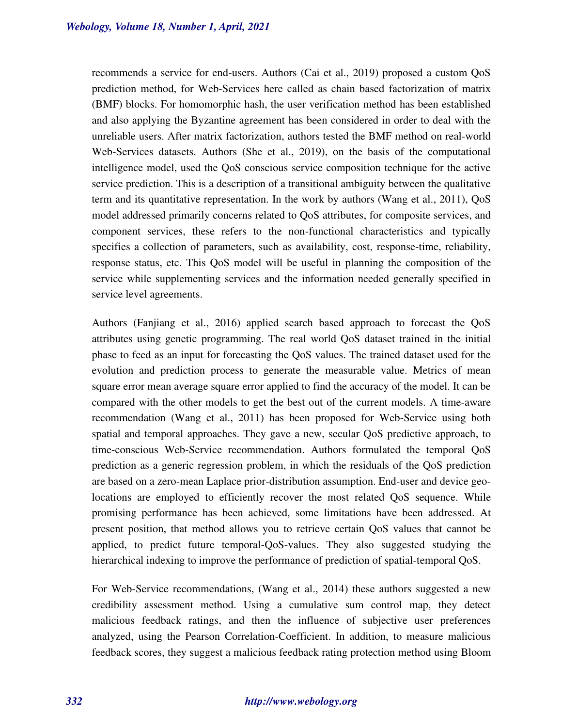recommends a service for end-users. Authors (Cai et al., 2019) proposed a custom QoS prediction method, for Web-Services here called as chain based factorization of matrix (BMF) blocks. For homomorphic hash, the user verification method has been established and also applying the Byzantine agreement has been considered in order to deal with the unreliable users. After matrix factorization, authors tested the BMF method on real-world Web-Services datasets. Authors (She et al., 2019), on the basis of the computational intelligence model, used the QoS conscious service composition technique for the active service prediction. This is a description of a transitional ambiguity between the qualitative term and its quantitative representation. In the work by authors (Wang et al., 2011), QoS model addressed primarily concerns related to QoS attributes, for composite services, and component services, these refers to the non-functional characteristics and typically specifies a collection of parameters, such as availability, cost, response-time, reliability, response status, etc. This QoS model will be useful in planning the composition of the service while supplementing services and the information needed generally specified in service level agreements.

Authors (Fanjiang et al., 2016) applied search based approach to forecast the QoS attributes using genetic programming. The real world QoS dataset trained in the initial phase to feed as an input for forecasting the QoS values. The trained dataset used for the evolution and prediction process to generate the measurable value. Metrics of mean square error mean average square error applied to find the accuracy of the model. It can be compared with the other models to get the best out of the current models. A time-aware recommendation (Wang et al., 2011) has been proposed for Web-Service using both spatial and temporal approaches. They gave a new, secular QoS predictive approach, to time-conscious Web-Service recommendation. Authors formulated the temporal QoS prediction as a generic regression problem, in which the residuals of the QoS prediction are based on a zero-mean Laplace prior-distribution assumption. End-user and device geolocations are employed to efficiently recover the most related QoS sequence. While promising performance has been achieved, some limitations have been addressed. At present position, that method allows you to retrieve certain QoS values that cannot be applied, to predict future temporal-QoS-values. They also suggested studying the hierarchical indexing to improve the performance of prediction of spatial-temporal QoS.

For Web-Service recommendations, (Wang et al., 2014) these authors suggested a new credibility assessment method. Using a cumulative sum control map, they detect malicious feedback ratings, and then the influence of subjective user preferences analyzed, using the Pearson Correlation-Coefficient. In addition, to measure malicious feedback scores, they suggest a malicious feedback rating protection method using Bloom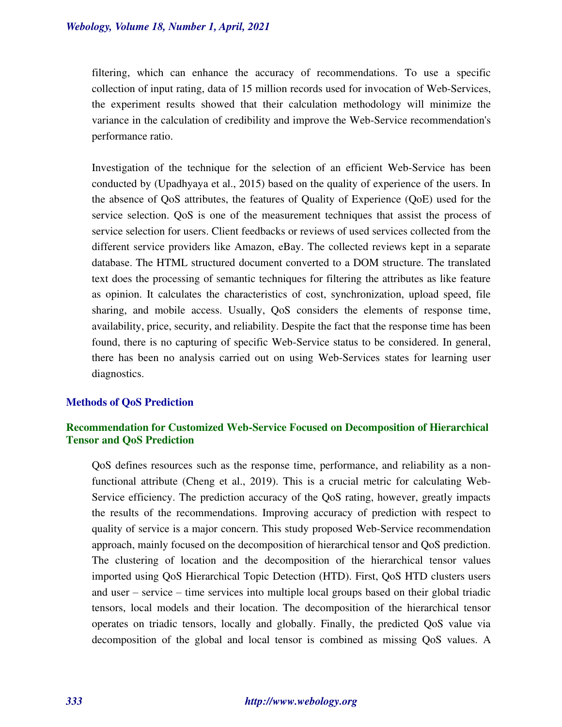filtering, which can enhance the accuracy of recommendations. To use a specific collection of input rating, data of 15 million records used for invocation of Web-Services, the experiment results showed that their calculation methodology will minimize the variance in the calculation of credibility and improve the Web-Service recommendation's performance ratio.

Investigation of the technique for the selection of an efficient Web-Service has been conducted by (Upadhyaya et al., 2015) based on the quality of experience of the users. In the absence of QoS attributes, the features of Quality of Experience (QoE) used for the service selection. QoS is one of the measurement techniques that assist the process of service selection for users. Client feedbacks or reviews of used services collected from the different service providers like Amazon, eBay. The collected reviews kept in a separate database. The HTML structured document converted to a DOM structure. The translated text does the processing of semantic techniques for filtering the attributes as like feature as opinion. It calculates the characteristics of cost, synchronization, upload speed, file sharing, and mobile access. Usually, QoS considers the elements of response time, availability, price, security, and reliability. Despite the fact that the response time has been found, there is no capturing of specific Web-Service status to be considered. In general, there has been no analysis carried out on using Web-Services states for learning user diagnostics.

### **Methods of QoS Prediction**

# **Recommendation for Customized Web-Service Focused on Decomposition of Hierarchical Tensor and QoS Prediction**

QoS defines resources such as the response time, performance, and reliability as a nonfunctional attribute (Cheng et al., 2019). This is a crucial metric for calculating Web-Service efficiency. The prediction accuracy of the QoS rating, however, greatly impacts the results of the recommendations. Improving accuracy of prediction with respect to quality of service is a major concern. This study proposed Web-Service recommendation approach, mainly focused on the decomposition of hierarchical tensor and QoS prediction. The clustering of location and the decomposition of the hierarchical tensor values imported using QoS Hierarchical Topic Detection (HTD). First, QoS HTD clusters users and user – service – time services into multiple local groups based on their global triadic tensors, local models and their location. The decomposition of the hierarchical tensor operates on triadic tensors, locally and globally. Finally, the predicted QoS value via decomposition of the global and local tensor is combined as missing QoS values. A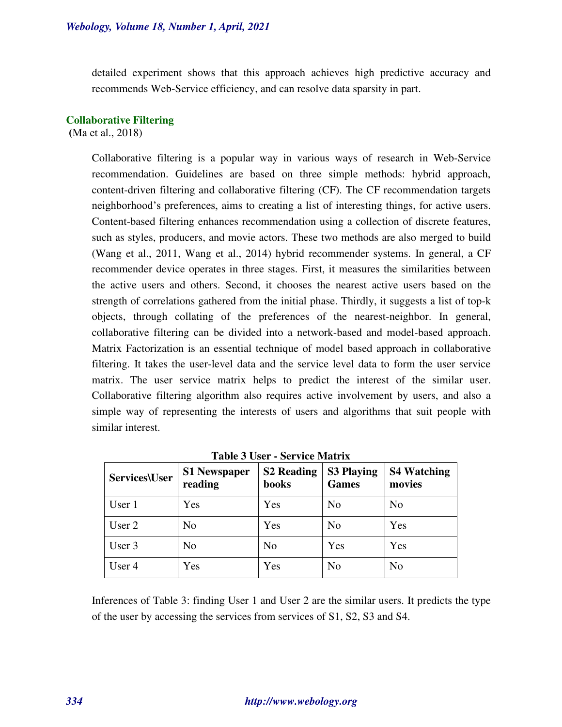detailed experiment shows that this approach achieves high predictive accuracy and recommends Web-Service efficiency, and can resolve data sparsity in part.

#### **Collaborative Filtering**

 **(**Ma et al., 2018)

Collaborative filtering is a popular way in various ways of research in Web-Service recommendation. Guidelines are based on three simple methods: hybrid approach, content-driven filtering and collaborative filtering (CF). The CF recommendation targets neighborhood's preferences, aims to creating a list of interesting things, for active users. Content-based filtering enhances recommendation using a collection of discrete features, such as styles, producers, and movie actors. These two methods are also merged to build (Wang et al., 2011, Wang et al., 2014) hybrid recommender systems. In general, a CF recommender device operates in three stages. First, it measures the similarities between the active users and others. Second, it chooses the nearest active users based on the strength of correlations gathered from the initial phase. Thirdly, it suggests a list of top-k objects, through collating of the preferences of the nearest-neighbor. In general, collaborative filtering can be divided into a network-based and model-based approach. Matrix Factorization is an essential technique of model based approach in collaborative filtering. It takes the user-level data and the service level data to form the user service matrix. The user service matrix helps to predict the interest of the similar user. Collaborative filtering algorithm also requires active involvement by users, and also a simple way of representing the interests of users and algorithms that suit people with similar interest.

| <b>Services\User</b> | <b>S1 Newspaper</b><br>reading | <b>S2 Reading</b><br>books | <b>S3 Playing</b><br><b>Games</b> | <b>S4 Watching</b><br>movies |
|----------------------|--------------------------------|----------------------------|-----------------------------------|------------------------------|
| User 1               | Yes                            | Yes                        | N <sub>o</sub>                    | N <sub>o</sub>               |
| User 2               | No                             | Yes                        | N <sub>o</sub>                    | Yes                          |
| User 3               | No                             | N <sub>o</sub>             | Yes                               | Yes                          |
| User 4               | Yes                            | Yes                        | N <sub>o</sub>                    | N <sub>o</sub>               |

**Table 3 User - Service Matrix** 

Inferences of Table 3: finding User 1 and User 2 are the similar users. It predicts the type of the user by accessing the services from services of S1, S2, S3 and S4.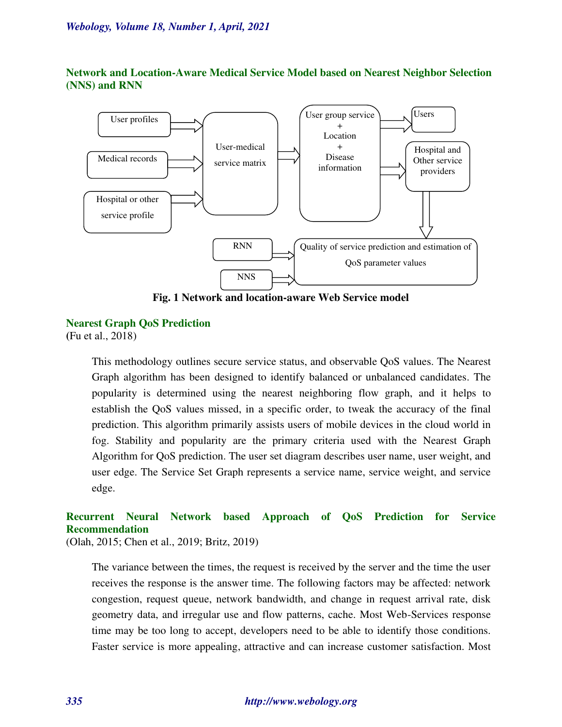**Network and Location-Aware Medical Service Model based on Nearest Neighbor Selection (NNS) and RNN** 



**Fig. 1 Network and location-aware Web Service model** 

### **Nearest Graph QoS Prediction**

**(**Fu et al., 2018)

This methodology outlines secure service status, and observable QoS values. The Nearest Graph algorithm has been designed to identify balanced or unbalanced candidates. The popularity is determined using the nearest neighboring flow graph, and it helps to establish the QoS values missed, in a specific order, to tweak the accuracy of the final prediction. This algorithm primarily assists users of mobile devices in the cloud world in fog. Stability and popularity are the primary criteria used with the Nearest Graph Algorithm for QoS prediction. The user set diagram describes user name, user weight, and user edge. The Service Set Graph represents a service name, service weight, and service edge.

# **Recurrent Neural Network based Approach of QoS Prediction for Service Recommendation**

(Olah, 2015; Chen et al., 2019; Britz, 2019)

The variance between the times, the request is received by the server and the time the user receives the response is the answer time. The following factors may be affected: network congestion, request queue, network bandwidth, and change in request arrival rate, disk geometry data, and irregular use and flow patterns, cache. Most Web-Services response time may be too long to accept, developers need to be able to identify those conditions. Faster service is more appealing, attractive and can increase customer satisfaction. Most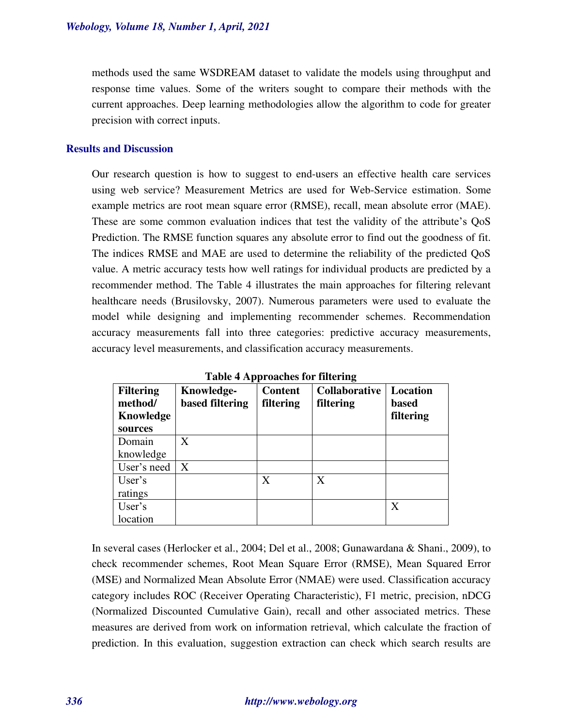methods used the same WSDREAM dataset to validate the models using throughput and response time values. Some of the writers sought to compare their methods with the current approaches. Deep learning methodologies allow the algorithm to code for greater precision with correct inputs.

### **Results and Discussion**

Our research question is how to suggest to end-users an effective health care services using web service? Measurement Metrics are used for Web-Service estimation. Some example metrics are root mean square error (RMSE), recall, mean absolute error (MAE). These are some common evaluation indices that test the validity of the attribute's QoS Prediction. The RMSE function squares any absolute error to find out the goodness of fit. The indices RMSE and MAE are used to determine the reliability of the predicted QoS value. A metric accuracy tests how well ratings for individual products are predicted by a recommender method. The Table 4 illustrates the main approaches for filtering relevant healthcare needs (Brusilovsky, 2007). Numerous parameters were used to evaluate the model while designing and implementing recommender schemes. Recommendation accuracy measurements fall into three categories: predictive accuracy measurements, accuracy level measurements, and classification accuracy measurements.

| <b>Table + Approacties for filtering</b> |                 |                |                      |                 |  |  |
|------------------------------------------|-----------------|----------------|----------------------|-----------------|--|--|
| <b>Filtering</b>                         | Knowledge-      | <b>Content</b> | <b>Collaborative</b> | <b>Location</b> |  |  |
| method/                                  | based filtering | filtering      | filtering            | <b>based</b>    |  |  |
| Knowledge                                |                 |                |                      | filtering       |  |  |
| sources                                  |                 |                |                      |                 |  |  |
| Domain                                   | X               |                |                      |                 |  |  |
| knowledge                                |                 |                |                      |                 |  |  |
| User's need                              | X               |                |                      |                 |  |  |
| User's                                   |                 | X              | X                    |                 |  |  |
| ratings                                  |                 |                |                      |                 |  |  |
| User's                                   |                 |                |                      | X               |  |  |
| location                                 |                 |                |                      |                 |  |  |

**Table 4 Approaches for filtering** 

In several cases (Herlocker et al., 2004; Del et al., 2008; Gunawardana & Shani., 2009), to check recommender schemes, Root Mean Square Error (RMSE), Mean Squared Error (MSE) and Normalized Mean Absolute Error (NMAE) were used. Classification accuracy category includes ROC (Receiver Operating Characteristic), F1 metric, precision, nDCG (Normalized Discounted Cumulative Gain), recall and other associated metrics. These measures are derived from work on information retrieval, which calculate the fraction of prediction. In this evaluation, suggestion extraction can check which search results are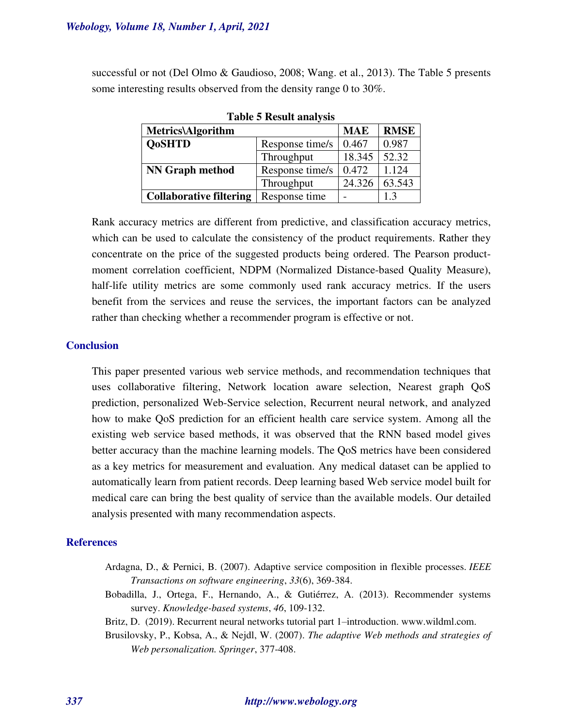successful or not (Del Olmo & Gaudioso, 2008; Wang. et al., 2013). The Table 5 presents some interesting results observed from the density range 0 to 30%.

| <b>Metrics\Algorithm</b>       |                 | <b>MAE</b> | <b>RMSE</b> |
|--------------------------------|-----------------|------------|-------------|
| <b>QoSHTD</b>                  | Response time/s | 0.467      | 0.987       |
|                                | Throughput      | 18.345     | 52.32       |
| <b>NN Graph method</b>         | Response time/s | 0.472      | 1.124       |
|                                | Throughput      | 24.326     | 63.543      |
| <b>Collaborative filtering</b> | Response time   |            | 1.3         |

**Table 5 Result analysis** 

Rank accuracy metrics are different from predictive, and classification accuracy metrics, which can be used to calculate the consistency of the product requirements. Rather they concentrate on the price of the suggested products being ordered. The Pearson productmoment correlation coefficient, NDPM (Normalized Distance-based Quality Measure), half-life utility metrics are some commonly used rank accuracy metrics. If the users benefit from the services and reuse the services, the important factors can be analyzed rather than checking whether a recommender program is effective or not.

### **Conclusion**

This paper presented various web service methods, and recommendation techniques that uses collaborative filtering, Network location aware selection, Nearest graph QoS prediction, personalized Web-Service selection, Recurrent neural network, and analyzed how to make QoS prediction for an efficient health care service system. Among all the existing web service based methods, it was observed that the RNN based model gives better accuracy than the machine learning models. The QoS metrics have been considered as a key metrics for measurement and evaluation. Any medical dataset can be applied to automatically learn from patient records. Deep learning based Web service model built for medical care can bring the best quality of service than the available models. Our detailed analysis presented with many recommendation aspects.

### **References**

- Ardagna, D., & Pernici, B. (2007). Adaptive service composition in flexible processes. *IEEE Transactions on software engineering*, *33*(6), 369-384.
- Bobadilla, J., Ortega, F., Hernando, A., & Gutiérrez, A. (2013). Recommender systems survey. *Knowledge-based systems*, *46*, 109-132.
- Britz, D. (2019). Recurrent neural networks tutorial part 1–introduction. www.wildml.com.
- Brusilovsky, P., Kobsa, A., & Nejdl, W. (2007). *The adaptive Web methods and strategies of Web personalization. Springer*, 377-408.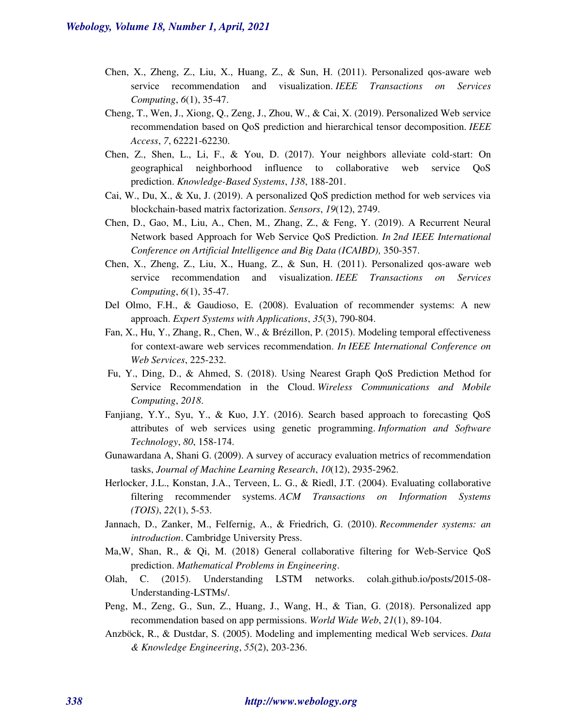- Chen, X., Zheng, Z., Liu, X., Huang, Z., & Sun, H. (2011). Personalized qos-aware web service recommendation and visualization. *IEEE Transactions on Services Computing*, *6*(1), 35-47.
- Cheng, T., Wen, J., Xiong, Q., Zeng, J., Zhou, W., & Cai, X. (2019). Personalized Web service recommendation based on QoS prediction and hierarchical tensor decomposition. *IEEE Access*, *7*, 62221-62230.
- Chen, Z., Shen, L., Li, F., & You, D. (2017). Your neighbors alleviate cold-start: On geographical neighborhood influence to collaborative web service QoS prediction. *Knowledge-Based Systems*, *138*, 188-201.
- Cai, W., Du, X., & Xu, J. (2019). A personalized QoS prediction method for web services via blockchain-based matrix factorization. *Sensors*, *19*(12), 2749.
- Chen, D., Gao, M., Liu, A., Chen, M., Zhang, Z., & Feng, Y. (2019). A Recurrent Neural Network based Approach for Web Service QoS Prediction. *In 2nd IEEE International Conference on Artificial Intelligence and Big Data (ICAIBD),* 350-357.
- Chen, X., Zheng, Z., Liu, X., Huang, Z., & Sun, H. (2011). Personalized qos-aware web service recommendation and visualization. *IEEE Transactions on Services Computing*, *6*(1), 35-47.
- Del Olmo, F.H., & Gaudioso, E. (2008). Evaluation of recommender systems: A new approach. *Expert Systems with Applications*, *35*(3), 790-804.
- Fan, X., Hu, Y., Zhang, R., Chen, W., & Brézillon, P. (2015). Modeling temporal effectiveness for context-aware web services recommendation. *In IEEE International Conference on Web Services*, 225-232.
- Fu, Y., Ding, D., & Ahmed, S. (2018). Using Nearest Graph QoS Prediction Method for Service Recommendation in the Cloud. *Wireless Communications and Mobile Computing*, *2018*.
- Fanjiang, Y.Y., Syu, Y., & Kuo, J.Y. (2016). Search based approach to forecasting QoS attributes of web services using genetic programming. *Information and Software Technology*, *80*, 158-174.
- Gunawardana A, Shani G. (2009). A survey of accuracy evaluation metrics of recommendation tasks, *Journal of Machine Learning Research*, *10*(12), 2935-2962.
- Herlocker, J.L., Konstan, J.A., Terveen, L. G., & Riedl, J.T. (2004). Evaluating collaborative filtering recommender systems. *ACM Transactions on Information Systems (TOIS)*, *22*(1), 5-53.
- Jannach, D., Zanker, M., Felfernig, A., & Friedrich, G. (2010). *Recommender systems: an introduction*. Cambridge University Press.
- Ma,W, Shan, R., & Qi, M. (2018) General collaborative filtering for Web-Service QoS prediction. *Mathematical Problems in Engineering*.
- Olah, C. (2015). Understanding LSTM networks. colah.github.io/posts/2015-08- Understanding-LSTMs/.
- Peng, M., Zeng, G., Sun, Z., Huang, J., Wang, H., & Tian, G. (2018). Personalized app recommendation based on app permissions. *World Wide Web*, *21*(1), 89-104.
- Anzböck, R., & Dustdar, S. (2005). Modeling and implementing medical Web services. *Data & Knowledge Engineering*, *55*(2), 203-236.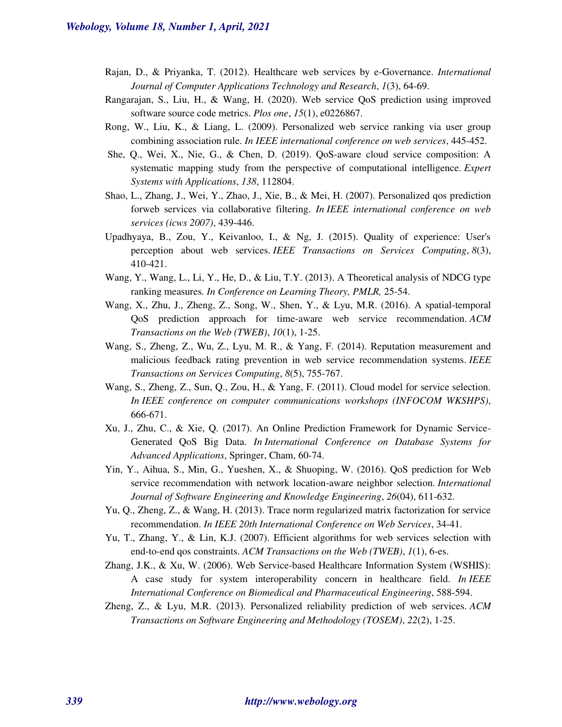- Rajan, D., & Priyanka, T. (2012). Healthcare web services by e-Governance. *International Journal of Computer Applications Technology and Research*, *1*(3), 64-69.
- Rangarajan, S., Liu, H., & Wang, H. (2020). Web service QoS prediction using improved software source code metrics. *Plos one*, *15*(1), e0226867.
- Rong, W., Liu, K., & Liang, L. (2009). Personalized web service ranking via user group combining association rule. *In IEEE international conference on web services*, 445-452.
- She, Q., Wei, X., Nie, G., & Chen, D. (2019). QoS-aware cloud service composition: A systematic mapping study from the perspective of computational intelligence. *Expert Systems with Applications*, *138*, 112804.
- Shao, L., Zhang, J., Wei, Y., Zhao, J., Xie, B., & Mei, H. (2007). Personalized qos prediction forweb services via collaborative filtering. *In IEEE international conference on web services (icws 2007)*, 439-446.
- Upadhyaya, B., Zou, Y., Keivanloo, I., & Ng, J. (2015). Quality of experience: User's perception about web services. *IEEE Transactions on Services Computing*, *8*(3), 410-421.
- Wang, Y., Wang, L., Li, Y., He, D., & Liu, T.Y. (2013). A Theoretical analysis of NDCG type ranking measures*. In Conference on Learning Theory, PMLR,* 25-54.
- Wang, X., Zhu, J., Zheng, Z., Song, W., Shen, Y., & Lyu, M.R. (2016). A spatial-temporal QoS prediction approach for time-aware web service recommendation. *ACM Transactions on the Web (TWEB)*, *10*(1), 1-25.
- Wang, S., Zheng, Z., Wu, Z., Lyu, M. R., & Yang, F. (2014). Reputation measurement and malicious feedback rating prevention in web service recommendation systems. *IEEE Transactions on Services Computing*, *8*(5), 755-767.
- Wang, S., Zheng, Z., Sun, Q., Zou, H., & Yang, F. (2011). Cloud model for service selection. *In IEEE conference on computer communications workshops (INFOCOM WKSHPS)*, 666-671.
- Xu, J., Zhu, C., & Xie, Q. (2017). An Online Prediction Framework for Dynamic Service-Generated QoS Big Data. *In International Conference on Database Systems for Advanced Applications*, Springer, Cham, 60-74.
- Yin, Y., Aihua, S., Min, G., Yueshen, X., & Shuoping, W. (2016). QoS prediction for Web service recommendation with network location-aware neighbor selection. *International Journal of Software Engineering and Knowledge Engineering*, *26*(04), 611-632.
- Yu, Q., Zheng, Z., & Wang, H. (2013). Trace norm regularized matrix factorization for service recommendation. *In IEEE 20th International Conference on Web Services*, 34-41.
- Yu, T., Zhang, Y., & Lin, K.J. (2007). Efficient algorithms for web services selection with end-to-end qos constraints. *ACM Transactions on the Web (TWEB)*, *1*(1), 6-es.
- Zhang, J.K., & Xu, W. (2006). Web Service-based Healthcare Information System (WSHIS): A case study for system interoperability concern in healthcare field. *In IEEE International Conference on Biomedical and Pharmaceutical Engineering*, 588-594.
- Zheng, Z., & Lyu, M.R. (2013). Personalized reliability prediction of web services. *ACM Transactions on Software Engineering and Methodology (TOSEM)*, *22*(2), 1-25.